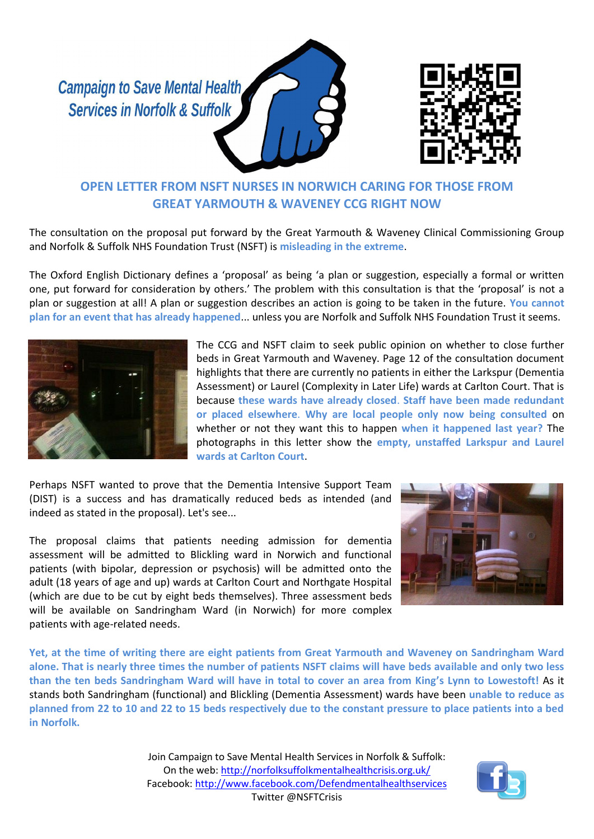**Campaign to Save Mental Health Services in Norfolk & Suffolk** 





## **OPEN LETTER FROM NSFT NURSES IN NORWICH CARING FOR THOSE FROM GREAT YARMOUTH & WAVENEY CCG RIGHT NOW**

The consultation on the proposal put forward by the Great Yarmouth & Waveney Clinical Commissioning Group and Norfolk & Suffolk NHS Foundation Trust (NSFT) is **misleading in the extreme**.

The Oxford English Dictionary defines a 'proposal' as being 'a plan or suggestion, especially a formal or written one, put forward for consideration by others.' The problem with this consultation is that the 'proposal' is not a plan or suggestion at all! A plan or suggestion describes an action is going to be taken in the future. **You cannot plan for an event that has already happened**... unless you are Norfolk and Suffolk NHS Foundation Trust it seems.



The CCG and NSFT claim to seek public opinion on whether to close further beds in Great Yarmouth and Waveney. Page 12 of the consultation document highlights that there are currently no patients in either the Larkspur (Dementia Assessment) or Laurel (Complexity in Later Life) wards at Carlton Court. That is because **these wards have already closed**. **Staff have been made redundant or placed elsewhere**. **Why are local people only now being consulted** on whether or not they want this to happen **when it happened last year?** The photographs in this letter show the **empty, unstaffed Larkspur and Laurel wards at Carlton Court**.

Perhaps NSFT wanted to prove that the Dementia Intensive Support Team (DIST) is a success and has dramatically reduced beds as intended (and indeed as stated in the proposal). Let's see...

The proposal claims that patients needing admission for dementia assessment will be admitted to Blickling ward in Norwich and functional patients (with bipolar, depression or psychosis) will be admitted onto the adult (18 years of age and up) wards at Carlton Court and Northgate Hospital (which are due to be cut by eight beds themselves). Three assessment beds will be available on Sandringham Ward (in Norwich) for more complex patients with age-related needs.



**Yet, at the time of writing there are eight patients from Great Yarmouth and Waveney on Sandringham Ward alone. That is nearly three times the number of patients NSFT claims will have beds available and only two less than the ten beds Sandringham Ward will have in total to cover an area from King's Lynn to Lowestoft!** As it stands both Sandringham (functional) and Blickling (Dementia Assessment) wards have been **unable to reduce as planned from 22 to 10 and 22 to 15 beds respectively due to the constant pressure to place patients into a bed in Norfolk.**

> Join Campaign to Save Mental Health Services in Norfolk & Suffolk: On the web:<http://norfolksuffolkmentalhealthcrisis.org.uk/> Facebook[: http://www.facebook.com/Defendmentalhealthservices](http://www.facebook.com/Defendmentalhealthservices) Twitter @NSFTCrisis